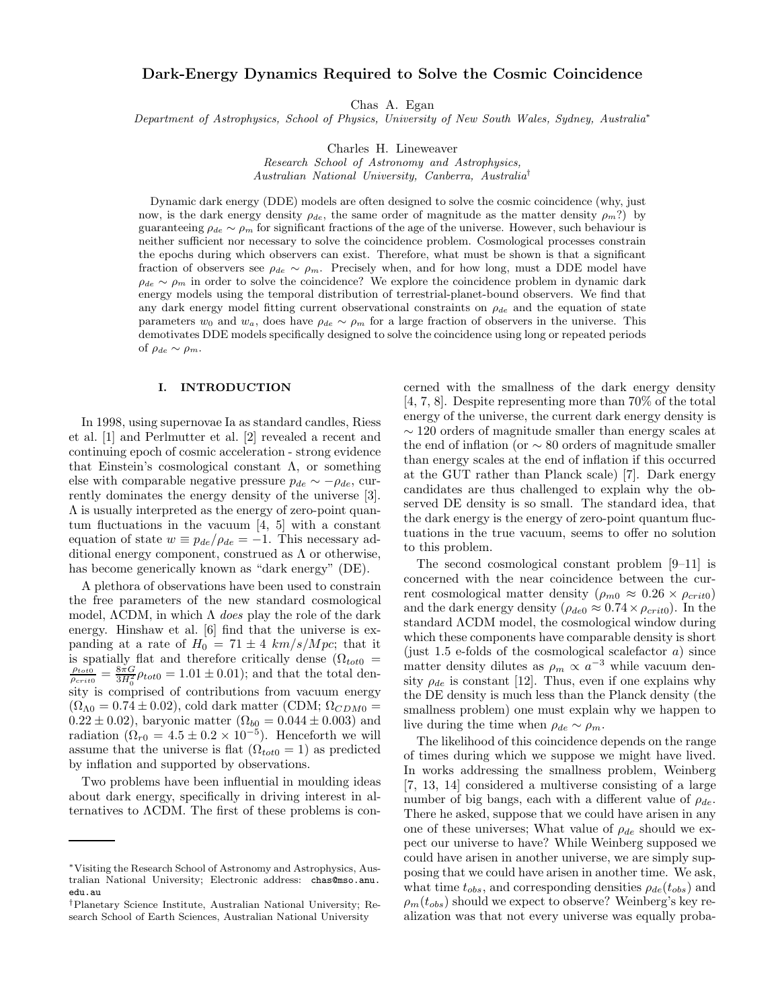# Dark-Energy Dynamics Required to Solve the Cosmic Coincidence

Chas A. Egan

Department of Astrophysics, School of Physics, University of New South Wales, Sydney, Australia<sup>∗</sup>

Charles H. Lineweaver

Research School of Astronomy and Astrophysics, Australian National University, Canberra, Australia†

Dynamic dark energy (DDE) models are often designed to solve the cosmic coincidence (why, just now, is the dark energy density  $\rho_{de}$ , the same order of magnitude as the matter density  $\rho_m$ ?) by guaranteeing  $\rho_{de} \sim \rho_m$  for significant fractions of the age of the universe. However, such behaviour is neither sufficient nor necessary to solve the coincidence problem. Cosmological processes constrain the epochs during which observers can exist. Therefore, what must be shown is that a significant fraction of observers see  $\rho_{de} \sim \rho_m$ . Precisely when, and for how long, must a DDE model have  $\rho_{de} \sim \rho_m$  in order to solve the coincidence? We explore the coincidence problem in dynamic dark energy models using the temporal distribution of terrestrial-planet-bound observers. We find that any dark energy model fitting current observational constraints on  $\rho_{de}$  and the equation of state parameters  $w_0$  and  $w_a$ , does have  $\rho_{de} \sim \rho_m$  for a large fraction of observers in the universe. This demotivates DDE models specifically designed to solve the coincidence using long or repeated periods of  $\rho_{de} \sim \rho_m$ .

## I. INTRODUCTION

In 1998, using supernovae Ia as standard candles, Riess et al. [1] and Perlmutter et al. [2] revealed a recent and continuing epoch of cosmic acceleration - strong evidence that Einstein's cosmological constant  $\Lambda$ , or something else with comparable negative pressure  $p_{de} \sim -\rho_{de}$ , currently dominates the energy density of the universe [3]. Λ is usually interpreted as the energy of zero-point quantum fluctuations in the vacuum [4, 5] with a constant equation of state  $w \equiv p_{de}/\rho_{de} = -1$ . This necessary additional energy component, construed as  $\Lambda$  or otherwise, has become generically known as "dark energy" (DE).

A plethora of observations have been used to constrain the free parameters of the new standard cosmological model,  $\Lambda$ CDM, in which  $\Lambda$  does play the role of the dark energy. Hinshaw et al. [6] find that the universe is expanding at a rate of  $H_0 = 71 \pm 4 \ km/s/Mpc$ ; that it is spatially flat and therefore critically dense ( $\Omega_{tot0}$  =  $\frac{\rho_{tot0}}{\rho_{crit0}} = \frac{8\pi G}{3H_0^2} \rho_{tot0} = 1.01 \pm 0.01$ ); and that the total density is comprised of contributions from vacuum energy  $(\Omega_{\Lambda 0} = 0.74 \pm 0.02)$ , cold dark matter (CDM;  $\Omega_{CDM0} =$  $0.22 \pm 0.02$ , baryonic matter  $(\Omega_{b0} = 0.044 \pm 0.003)$  and radiation  $(\Omega_{r0} = 4.5 \pm 0.2 \times 10^{-5})$ . Henceforth we will assume that the universe is flat  $(\Omega_{tot0} = 1)$  as predicted by inflation and supported by observations.

Two problems have been influential in moulding ideas about dark energy, specifically in driving interest in alternatives to ΛCDM. The first of these problems is con-

cerned with the smallness of the dark energy density [4, 7, 8]. Despite representing more than 70% of the total energy of the universe, the current dark energy density is  $\sim$  120 orders of magnitude smaller than energy scales at the end of inflation (or ∼ 80 orders of magnitude smaller than energy scales at the end of inflation if this occurred at the GUT rather than Planck scale) [7]. Dark energy candidates are thus challenged to explain why the observed DE density is so small. The standard idea, that the dark energy is the energy of zero-point quantum fluctuations in the true vacuum, seems to offer no solution to this problem.

The second cosmological constant problem [9–11] is concerned with the near coincidence between the current cosmological matter density ( $\rho_{m0} \approx 0.26 \times \rho_{crit0}$ ) and the dark energy density ( $\rho_{de0} \approx 0.74 \times \rho_{crit0}$ ). In the standard ΛCDM model, the cosmological window during which these components have comparable density is short (just 1.5 e-folds of the cosmological scalefactor  $a$ ) since matter density dilutes as  $\rho_m \propto a^{-3}$  while vacuum density  $\rho_{de}$  is constant [12]. Thus, even if one explains why the DE density is much less than the Planck density (the smallness problem) one must explain why we happen to live during the time when  $\rho_{de} \sim \rho_m$ .

The likelihood of this coincidence depends on the range of times during which we suppose we might have lived. In works addressing the smallness problem, Weinberg [7, 13, 14] considered a multiverse consisting of a large number of big bangs, each with a different value of  $\rho_{de}$ . There he asked, suppose that we could have arisen in any one of these universes; What value of  $\rho_{de}$  should we expect our universe to have? While Weinberg supposed we could have arisen in another universe, we are simply supposing that we could have arisen in another time. We ask, what time  $t_{obs}$ , and corresponding densities  $\rho_{de}(t_{obs})$  and  $\rho_m(t_{obs})$  should we expect to observe? Weinberg's key realization was that not every universe was equally proba-

<sup>∗</sup>Visiting the Research School of Astronomy and Astrophysics, Australian National University; Electronic address: chas@mso.anu. edu.au

<sup>†</sup>Planetary Science Institute, Australian National University; Research School of Earth Sciences, Australian National University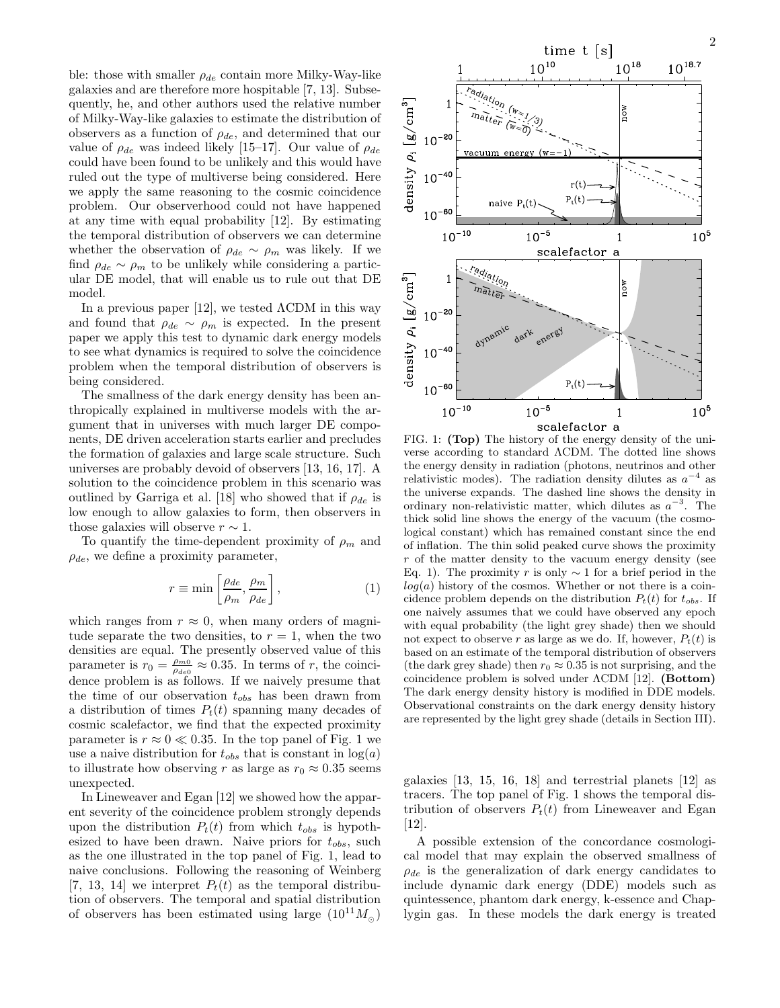ble: those with smaller  $\rho_{de}$  contain more Milky-Way-like galaxies and are therefore more hospitable [7, 13]. Subsequently, he, and other authors used the relative number of Milky-Way-like galaxies to estimate the distribution of observers as a function of  $\rho_{de}$ , and determined that our value of  $\rho_{de}$  was indeed likely [15–17]. Our value of  $\rho_{de}$ could have been found to be unlikely and this would have ruled out the type of multiverse being considered. Here we apply the same reasoning to the cosmic coincidence problem. Our observerhood could not have happened at any time with equal probability [12]. By estimating the temporal distribution of observers we can determine whether the observation of  $\rho_{de} \sim \rho_m$  was likely. If we find  $\rho_{de} \sim \rho_m$  to be unlikely while considering a particular DE model, that will enable us to rule out that DE model.

In a previous paper  $[12]$ , we tested  $\Lambda$ CDM in this way and found that  $\rho_{de} \sim \rho_m$  is expected. In the present paper we apply this test to dynamic dark energy models to see what dynamics is required to solve the coincidence problem when the temporal distribution of observers is being considered.

The smallness of the dark energy density has been anthropically explained in multiverse models with the argument that in universes with much larger DE components, DE driven acceleration starts earlier and precludes the formation of galaxies and large scale structure. Such universes are probably devoid of observers [13, 16, 17]. A solution to the coincidence problem in this scenario was outlined by Garriga et al. [18] who showed that if  $\rho_{de}$  is low enough to allow galaxies to form, then observers in those galaxies will observe  $r \sim 1$ .

To quantify the time-dependent proximity of  $\rho_m$  and  $\rho_{de}$ , we define a proximity parameter,

$$
r \equiv \min\left[\frac{\rho_{de}}{\rho_m}, \frac{\rho_m}{\rho_{de}}\right],\tag{1}
$$

which ranges from  $r \approx 0$ , when many orders of magnitude separate the two densities, to  $r = 1$ , when the two densities are equal. The presently observed value of this parameter is  $r_0 = \frac{\rho_{m0}}{\rho_{de0}} \approx 0.35$ . In terms of r, the coincidence problem is as follows. If we naively presume that the time of our observation  $t_{obs}$  has been drawn from a distribution of times  $P_t(t)$  spanning many decades of cosmic scalefactor, we find that the expected proximity parameter is  $r \approx 0 \ll 0.35$ . In the top panel of Fig. 1 we use a naive distribution for  $t_{obs}$  that is constant in  $log(a)$ to illustrate how observing r as large as  $r_0 \approx 0.35$  seems unexpected.

In Lineweaver and Egan [12] we showed how the apparent severity of the coincidence problem strongly depends upon the distribution  $P_t(t)$  from which  $t_{obs}$  is hypothesized to have been drawn. Naive priors for  $t_{obs}$ , such as the one illustrated in the top panel of Fig. 1, lead to naive conclusions. Following the reasoning of Weinberg [7, 13, 14] we interpret  $P_t(t)$  as the temporal distribution of observers. The temporal and spatial distribution of observers has been estimated using large  $(10^{11}M_{\odot})$ 



FIG. 1: (Top) The history of the energy density of the universe according to standard ΛCDM. The dotted line shows the energy density in radiation (photons, neutrinos and other relativistic modes). The radiation density dilutes as  $a^{-4}$  as the universe expands. The dashed line shows the density in ordinary non-relativistic matter, which dilutes as  $a^{-3}$ . The thick solid line shows the energy of the vacuum (the cosmological constant) which has remained constant since the end of inflation. The thin solid peaked curve shows the proximity r of the matter density to the vacuum energy density (see Eq. 1). The proximity r is only  $\sim$  1 for a brief period in the  $log(a)$  history of the cosmos. Whether or not there is a coincidence problem depends on the distribution  $P_t(t)$  for  $t_{obs}$ . If one naively assumes that we could have observed any epoch with equal probability (the light grey shade) then we should not expect to observe r as large as we do. If, however,  $P_t(t)$  is based on an estimate of the temporal distribution of observers (the dark grey shade) then  $r_0 \approx 0.35$  is not surprising, and the coincidence problem is solved under ΛCDM [12]. (Bottom) The dark energy density history is modified in DDE models. Observational constraints on the dark energy density history are represented by the light grey shade (details in Section III).

galaxies [13, 15, 16, 18] and terrestrial planets [12] as tracers. The top panel of Fig. 1 shows the temporal distribution of observers  $P_t(t)$  from Lineweaver and Egan [12].

A possible extension of the concordance cosmological model that may explain the observed smallness of  $\rho_{de}$  is the generalization of dark energy candidates to include dynamic dark energy (DDE) models such as quintessence, phantom dark energy, k-essence and Chaplygin gas. In these models the dark energy is treated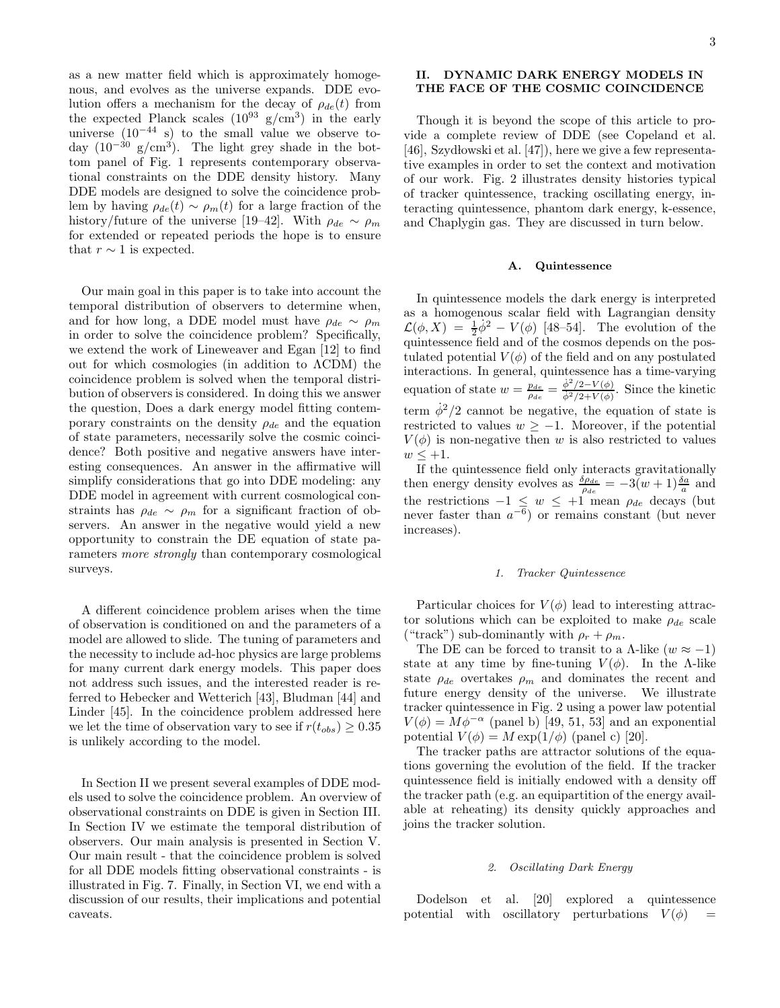3

as a new matter field which is approximately homogenous, and evolves as the universe expands. DDE evolution offers a mechanism for the decay of  $\rho_{de}(t)$  from the expected Planck scales  $(10^{93} \text{ g/cm}^3)$  in the early universe  $(10^{-44} \text{ s})$  to the small value we observe today  $(10^{-30} \text{ g/cm}^3)$ . The light grey shade in the bottom panel of Fig. 1 represents contemporary observational constraints on the DDE density history. Many DDE models are designed to solve the coincidence problem by having  $\rho_{de}(t) \sim \rho_m(t)$  for a large fraction of the history/future of the universe [19–42]. With  $\rho_{de} \sim \rho_m$ for extended or repeated periods the hope is to ensure that  $r \sim 1$  is expected.

Our main goal in this paper is to take into account the temporal distribution of observers to determine when, and for how long, a DDE model must have  $\rho_{de} \sim \rho_m$ in order to solve the coincidence problem? Specifically, we extend the work of Lineweaver and Egan [12] to find out for which cosmologies (in addition to ΛCDM) the coincidence problem is solved when the temporal distribution of observers is considered. In doing this we answer the question, Does a dark energy model fitting contemporary constraints on the density  $\rho_{de}$  and the equation of state parameters, necessarily solve the cosmic coincidence? Both positive and negative answers have interesting consequences. An answer in the affirmative will simplify considerations that go into DDE modeling: any DDE model in agreement with current cosmological constraints has  $\rho_{de} \sim \rho_m$  for a significant fraction of observers. An answer in the negative would yield a new opportunity to constrain the DE equation of state parameters more strongly than contemporary cosmological surveys.

A different coincidence problem arises when the time of observation is conditioned on and the parameters of a model are allowed to slide. The tuning of parameters and the necessity to include ad-hoc physics are large problems for many current dark energy models. This paper does not address such issues, and the interested reader is referred to Hebecker and Wetterich [43], Bludman [44] and Linder [45]. In the coincidence problem addressed here we let the time of observation vary to see if  $r(t_{obs}) \geq 0.35$ is unlikely according to the model.

In Section II we present several examples of DDE models used to solve the coincidence problem. An overview of observational constraints on DDE is given in Section III. In Section IV we estimate the temporal distribution of observers. Our main analysis is presented in Section V. Our main result - that the coincidence problem is solved for all DDE models fitting observational constraints - is illustrated in Fig. 7. Finally, in Section VI, we end with a discussion of our results, their implications and potential caveats.

# II. DYNAMIC DARK ENERGY MODELS IN THE FACE OF THE COSMIC COINCIDENCE

Though it is beyond the scope of this article to provide a complete review of DDE (see Copeland et al. [46], Szydłowski et al. [47]), here we give a few representative examples in order to set the context and motivation of our work. Fig. 2 illustrates density histories typical of tracker quintessence, tracking oscillating energy, interacting quintessence, phantom dark energy, k-essence, and Chaplygin gas. They are discussed in turn below.

### A. Quintessence

In quintessence models the dark energy is interpreted as a homogenous scalar field with Lagrangian density  $\mathcal{L}(\phi, X) = \frac{1}{2}\dot{\phi}^2 - V(\phi)$  [48–54]. The evolution of the quintessence field and of the cosmos depends on the postulated potential  $V(\phi)$  of the field and on any postulated interactions. In general, quintessence has a time-varying equation of state  $w = \frac{p_{de}}{\rho_{de}} = \frac{\dot{\phi}^2/2 - V(\phi)}{\dot{\phi}^2/2 + V(\phi)}$  $\frac{\varphi/2-V(\varphi)}{\dot{\varphi}^2/2+V(\varphi)}$ . Since the kinetic term  $\dot{\phi}^2/2$  cannot be negative, the equation of state is restricted to values  $w \geq -1$ . Moreover, if the potential  $V(\phi)$  is non-negative then w is also restricted to values  $w \leq +1$ .

If the quintessence field only interacts gravitationally then energy density evolves as  $\frac{\delta \rho_{de}}{\rho_{de}} = -3(w+1) \frac{\delta a}{a}$  and the restrictions  $-1 \leq w \leq +1$  mean  $\rho_{de}$  decays (but never faster than  $a^{-6}$ ) or remains constant (but never increases).

### 1. Tracker Quintessence

Particular choices for  $V(\phi)$  lead to interesting attractor solutions which can be exploited to make  $\rho_{de}$  scale ("track") sub-dominantly with  $\rho_r + \rho_m$ .

The DE can be forced to transit to a  $\Lambda$ -like  $(w \approx -1)$ state at any time by fine-tuning  $V(\phi)$ . In the A-like state  $\rho_{de}$  overtakes  $\rho_m$  and dominates the recent and future energy density of the universe. We illustrate tracker quintessence in Fig. 2 using a power law potential  $V(\phi) = M\phi^{-\alpha}$  (panel b) [49, 51, 53] and an exponential potential  $V(\phi) = M \exp(1/\phi)$  (panel c) [20].

The tracker paths are attractor solutions of the equations governing the evolution of the field. If the tracker quintessence field is initially endowed with a density off the tracker path (e.g. an equipartition of the energy available at reheating) its density quickly approaches and joins the tracker solution.

## 2. Oscillating Dark Energy

Dodelson et al. [20] explored a quintessence potential with oscillatory perturbations  $V(\phi)$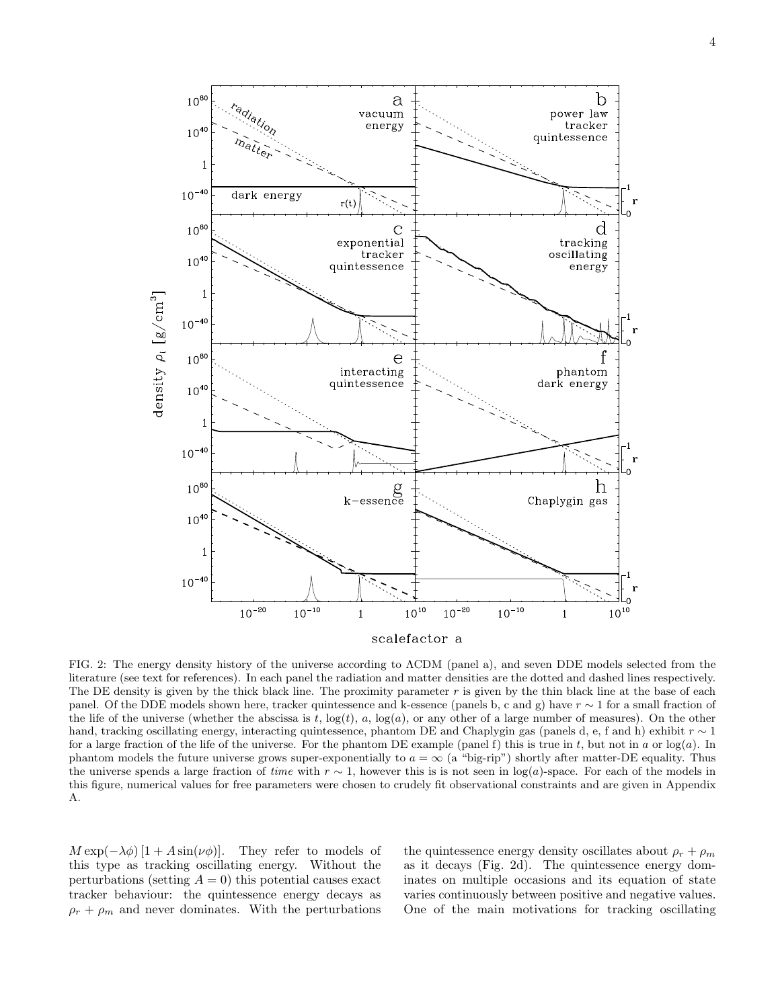

FIG. 2: The energy density history of the universe according to ΛCDM (panel a), and seven DDE models selected from the literature (see text for references). In each panel the radiation and matter densities are the dotted and dashed lines respectively. The DE density is given by the thick black line. The proximity parameter  $r$  is given by the thin black line at the base of each panel. Of the DDE models shown here, tracker quintessence and k-essence (panels b, c and g) have  $r \sim 1$  for a small fraction of the life of the universe (whether the abscissa is t,  $log(t)$ , a,  $log(a)$ , or any other of a large number of measures). On the other hand, tracking oscillating energy, interacting quintessence, phantom DE and Chaplygin gas (panels d, e, f and h) exhibit r ∼ 1 for a large fraction of the life of the universe. For the phantom DE example (panel f) this is true in t, but not in a or  $log(a)$ . In phantom models the future universe grows super-exponentially to  $a = \infty$  (a "big-rip") shortly after matter-DE equality. Thus the universe spends a large fraction of time with  $r \sim 1$ , however this is not seen in log(a)-space. For each of the models in this figure, numerical values for free parameters were chosen to crudely fit observational constraints and are given in Appendix A.

 $M \exp(-\lambda \phi) [1 + A \sin(\nu \phi)].$  They refer to models of this type as tracking oscillating energy. Without the perturbations (setting  $A = 0$ ) this potential causes exact tracker behaviour: the quintessence energy decays as  $\rho_r + \rho_m$  and never dominates. With the perturbations

the quintessence energy density oscillates about  $\rho_r + \rho_m$ as it decays (Fig. 2d). The quintessence energy dominates on multiple occasions and its equation of state varies continuously between positive and negative values. One of the main motivations for tracking oscillating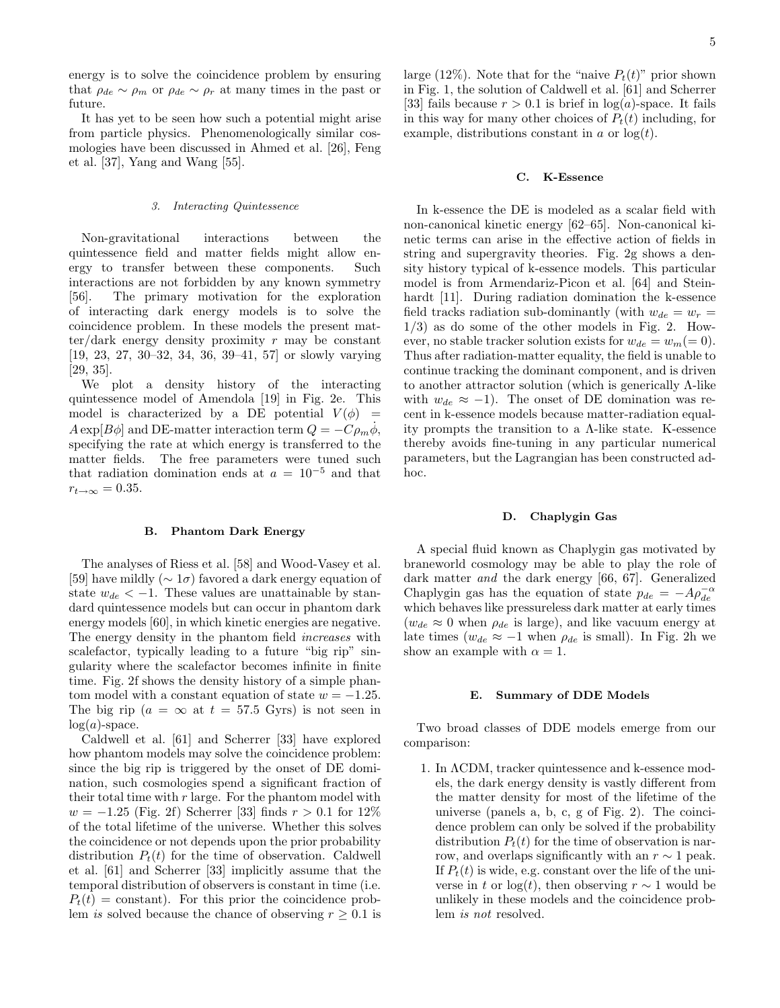energy is to solve the coincidence problem by ensuring that  $\rho_{de} \sim \rho_m$  or  $\rho_{de} \sim \rho_r$  at many times in the past or future.

It has yet to be seen how such a potential might arise from particle physics. Phenomenologically similar cosmologies have been discussed in Ahmed et al. [26], Feng et al. [37], Yang and Wang [55].

### 3. Interacting Quintessence

Non-gravitational interactions between the quintessence field and matter fields might allow energy to transfer between these components. Such interactions are not forbidden by any known symmetry [56]. The primary motivation for the exploration of interacting dark energy models is to solve the coincidence problem. In these models the present matter/dark energy density proximity  $r$  may be constant [19, 23, 27, 30–32, 34, 36, 39–41, 57] or slowly varying [29, 35].

We plot a density history of the interacting quintessence model of Amendola [19] in Fig. 2e. This model is characterized by a DE potential  $V(\phi)$  =  $A \exp[B\phi]$  and DE-matter interaction term  $Q = -C\rho_m\phi$ , specifying the rate at which energy is transferred to the matter fields. The free parameters were tuned such that radiation domination ends at  $a = 10^{-5}$  and that  $r_{t\rightarrow\infty} = 0.35.$ 

# B. Phantom Dark Energy

The analyses of Riess et al. [58] and Wood-Vasey et al. [59] have mildly ( $\sim 1\sigma$ ) favored a dark energy equation of state  $w_{de} < -1$ . These values are unattainable by standard quintessence models but can occur in phantom dark energy models [60], in which kinetic energies are negative. The energy density in the phantom field increases with scalefactor, typically leading to a future "big rip" singularity where the scalefactor becomes infinite in finite time. Fig. 2f shows the density history of a simple phantom model with a constant equation of state  $w = -1.25$ . The big rip ( $a = \infty$  at  $t = 57.5$  Gyrs) is not seen in  $log(a)$ -space.

Caldwell et al. [61] and Scherrer [33] have explored how phantom models may solve the coincidence problem: since the big rip is triggered by the onset of DE domination, such cosmologies spend a significant fraction of their total time with  $r$  large. For the phantom model with  $w = -1.25$  (Fig. 2f) Scherrer [33] finds  $r > 0.1$  for  $12\%$ of the total lifetime of the universe. Whether this solves the coincidence or not depends upon the prior probability distribution  $P_t(t)$  for the time of observation. Caldwell et al. [61] and Scherrer [33] implicitly assume that the temporal distribution of observers is constant in time (i.e.  $P_t(t) = constant$ . For this prior the coincidence problem is solved because the chance of observing  $r > 0.1$  is

large (12%). Note that for the "naive  $P_t(t)$ " prior shown in Fig. 1, the solution of Caldwell et al. [61] and Scherrer [33] fails because  $r > 0.1$  is brief in  $log(a)$ -space. It fails in this way for many other choices of  $P_t(t)$  including, for example, distributions constant in  $a$  or  $log(t)$ .

#### C. K-Essence

In k-essence the DE is modeled as a scalar field with non-canonical kinetic energy [62–65]. Non-canonical kinetic terms can arise in the effective action of fields in string and supergravity theories. Fig. 2g shows a density history typical of k-essence models. This particular model is from Armendariz-Picon et al. [64] and Steinhardt [11]. During radiation domination the k-essence field tracks radiation sub-dominantly (with  $w_{de} = w_r =$  $1/3$ ) as do some of the other models in Fig. 2. However, no stable tracker solution exists for  $w_{de} = w_m (= 0)$ . Thus after radiation-matter equality, the field is unable to continue tracking the dominant component, and is driven to another attractor solution (which is generically Λ-like with  $w_{de} \approx -1$ ). The onset of DE domination was recent in k-essence models because matter-radiation equality prompts the transition to a Λ-like state. K-essence thereby avoids fine-tuning in any particular numerical parameters, but the Lagrangian has been constructed adhoc.

### D. Chaplygin Gas

A special fluid known as Chaplygin gas motivated by braneworld cosmology may be able to play the role of dark matter and the dark energy [66, 67]. Generalized Chaplygin gas has the equation of state  $p_{de} = -A\rho_{de}^{-\alpha}$ which behaves like pressureless dark matter at early times  $(w_{de} \approx 0$  when  $\rho_{de}$  is large), and like vacuum energy at late times  $(w_{de} \approx -1$  when  $\rho_{de}$  is small). In Fig. 2h we show an example with  $\alpha = 1$ .

### E. Summary of DDE Models

Two broad classes of DDE models emerge from our comparison:

1. In ΛCDM, tracker quintessence and k-essence models, the dark energy density is vastly different from the matter density for most of the lifetime of the universe (panels a, b, c, g of Fig. 2). The coincidence problem can only be solved if the probability distribution  $P_t(t)$  for the time of observation is narrow, and overlaps significantly with an  $r \sim 1$  peak. If  $P_t(t)$  is wide, e.g. constant over the life of the universe in t or log(t), then observing  $r \sim 1$  would be unlikely in these models and the coincidence problem is not resolved.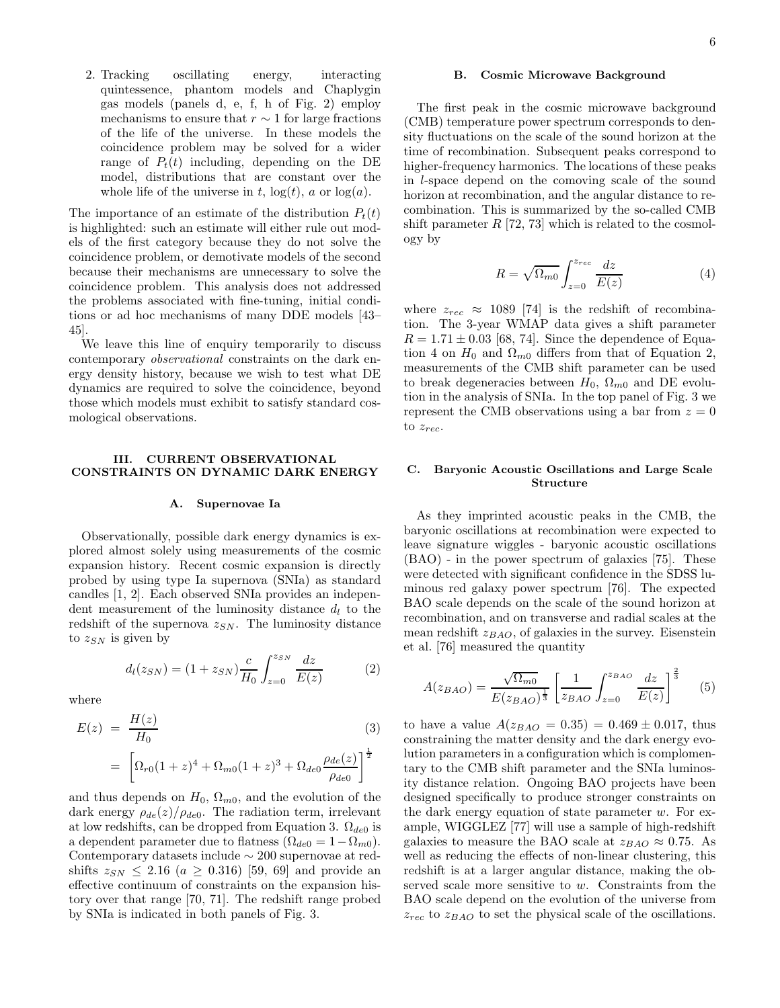2. Tracking oscillating energy, interacting quintessence, phantom models and Chaplygin gas models (panels d, e, f, h of Fig. 2) employ mechanisms to ensure that  $r \sim 1$  for large fractions of the life of the universe. In these models the coincidence problem may be solved for a wider range of  $P_t(t)$  including, depending on the DE model, distributions that are constant over the whole life of the universe in t,  $log(t)$ , a or  $log(a)$ .

The importance of an estimate of the distribution  $P_t(t)$ is highlighted: such an estimate will either rule out models of the first category because they do not solve the coincidence problem, or demotivate models of the second because their mechanisms are unnecessary to solve the coincidence problem. This analysis does not addressed the problems associated with fine-tuning, initial conditions or ad hoc mechanisms of many DDE models [43– 45].

We leave this line of enquiry temporarily to discuss contemporary observational constraints on the dark energy density history, because we wish to test what DE dynamics are required to solve the coincidence, beyond those which models must exhibit to satisfy standard cosmological observations.

### III. CURRENT OBSERVATIONAL CONSTRAINTS ON DYNAMIC DARK ENERGY

### A. Supernovae Ia

Observationally, possible dark energy dynamics is explored almost solely using measurements of the cosmic expansion history. Recent cosmic expansion is directly probed by using type Ia supernova (SNIa) as standard candles [1, 2]. Each observed SNIa provides an independent measurement of the luminosity distance  $d_l$  to the redshift of the supernova  $z_{SN}$ . The luminosity distance to  $z_{SN}$  is given by

$$
d_l(z_{SN}) = (1 + z_{SN}) \frac{c}{H_0} \int_{z=0}^{z_{SN}} \frac{dz}{E(z)}
$$
 (2)

where

$$
E(z) = \frac{H(z)}{H_0}
$$
(3)  
= 
$$
\left[ \Omega_{r0} (1+z)^4 + \Omega_{m0} (1+z)^3 + \Omega_{de0} \frac{\rho_{de}(z)}{\rho_{de0}} \right]^{\frac{1}{2}}
$$

and thus depends on  $H_0$ ,  $\Omega_{m0}$ , and the evolution of the dark energy  $\rho_{de}(z)/\rho_{de0}$ . The radiation term, irrelevant at low redshifts, can be dropped from Equation 3.  $\Omega_{de0}$  is a dependent parameter due to flatness  $(\Omega_{de0} = 1 - \Omega_{m0}).$ Contemporary datasets include ∼ 200 supernovae at redshifts  $z_{SN} \leq 2.16$  ( $a \geq 0.316$ ) [59, 69] and provide an effective continuum of constraints on the expansion history over that range [70, 71]. The redshift range probed by SNIa is indicated in both panels of Fig. 3.

### B. Cosmic Microwave Background

The first peak in the cosmic microwave background (CMB) temperature power spectrum corresponds to density fluctuations on the scale of the sound horizon at the time of recombination. Subsequent peaks correspond to higher-frequency harmonics. The locations of these peaks in l-space depend on the comoving scale of the sound horizon at recombination, and the angular distance to recombination. This is summarized by the so-called CMB shift parameter  $R$  [72, 73] which is related to the cosmology by

$$
R = \sqrt{\Omega_{m0}} \int_{z=0}^{z_{rec}} \frac{dz}{E(z)} \tag{4}
$$

where  $z_{rec} \approx 1089$  [74] is the redshift of recombination. The 3-year WMAP data gives a shift parameter  $R = 1.71 \pm 0.03$  [68, 74]. Since the dependence of Equation 4 on  $H_0$  and  $\Omega_{m0}$  differs from that of Equation 2, measurements of the CMB shift parameter can be used to break degeneracies between  $H_0$ ,  $\Omega_{m0}$  and DE evolution in the analysis of SNIa. In the top panel of Fig. 3 we represent the CMB observations using a bar from  $z = 0$ to  $z_{rec}$ .

# C. Baryonic Acoustic Oscillations and Large Scale Structure

As they imprinted acoustic peaks in the CMB, the baryonic oscillations at recombination were expected to leave signature wiggles - baryonic acoustic oscillations (BAO) - in the power spectrum of galaxies [75]. These were detected with significant confidence in the SDSS luminous red galaxy power spectrum [76]. The expected BAO scale depends on the scale of the sound horizon at recombination, and on transverse and radial scales at the mean redshift  $z_{BAO}$ , of galaxies in the survey. Eisenstein et al. [76] measured the quantity

$$
A(z_{BAO}) = \frac{\sqrt{\Omega_{m0}}}{E(z_{BAO})^{\frac{1}{3}}} \left[ \frac{1}{z_{BAO}} \int_{z=0}^{z_{BAO}} \frac{dz}{E(z)} \right]^{\frac{2}{3}} \tag{5}
$$

to have a value  $A(z_{BAO} = 0.35) = 0.469 \pm 0.017$ , thus constraining the matter density and the dark energy evolution parameters in a configuration which is complomentary to the CMB shift parameter and the SNIa luminosity distance relation. Ongoing BAO projects have been designed specifically to produce stronger constraints on the dark energy equation of state parameter  $w$ . For example, WIGGLEZ [77] will use a sample of high-redshift galaxies to measure the BAO scale at  $z_{BAO} \approx 0.75$ . As well as reducing the effects of non-linear clustering, this redshift is at a larger angular distance, making the observed scale more sensitive to w. Constraints from the BAO scale depend on the evolution of the universe from  $z_{rec}$  to  $z_{BAO}$  to set the physical scale of the oscillations.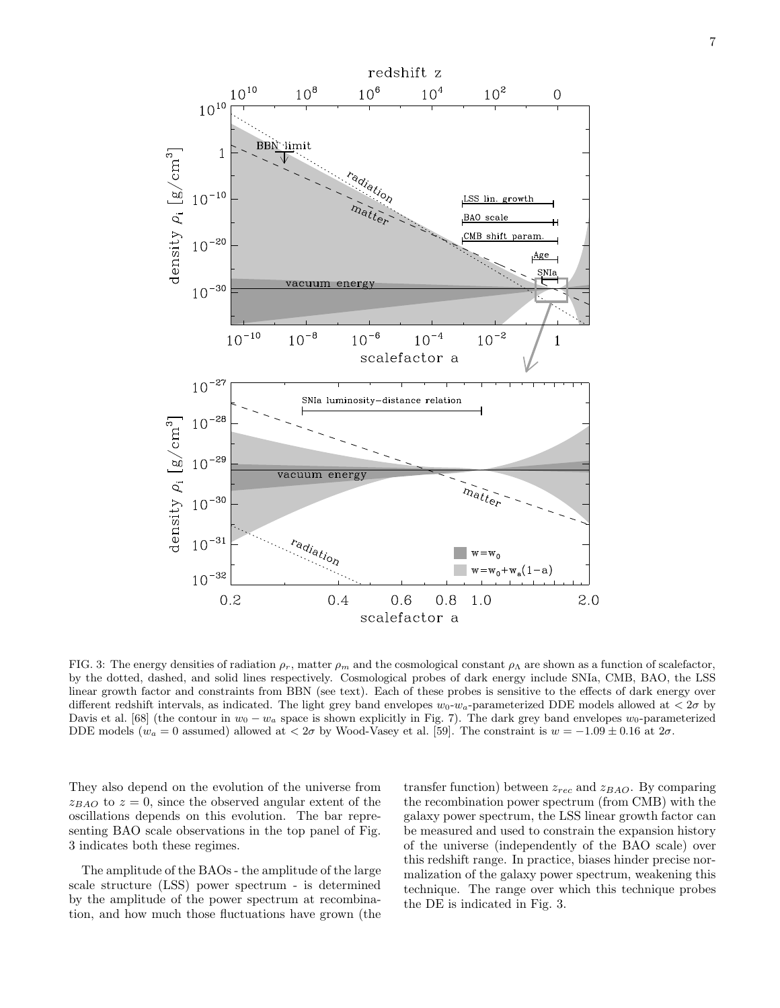

FIG. 3: The energy densities of radiation  $\rho_r$ , matter  $\rho_m$  and the cosmological constant  $\rho_{\Lambda}$  are shown as a function of scalefactor, by the dotted, dashed, and solid lines respectively. Cosmological probes of dark energy include SNIa, CMB, BAO, the LSS linear growth factor and constraints from BBN (see text). Each of these probes is sensitive to the effects of dark energy over different redshift intervals, as indicated. The light grey band envelopes  $w_0$ - $w_a$ -parameterized DDE models allowed at  $\langle 2\sigma$  by Davis et al. [68] (the contour in  $w_0 - w_a$  space is shown explicitly in Fig. 7). The dark grey band envelopes  $w_0$ -parameterized DDE models ( $w_a = 0$  assumed) allowed at  $\langle 2\sigma \rangle$  by Wood-Vasey et al. [59]. The constraint is  $w = -1.09 \pm 0.16$  at  $2\sigma$ .

They also depend on the evolution of the universe from  $z_{BAO}$  to  $z = 0$ , since the observed angular extent of the oscillations depends on this evolution. The bar representing BAO scale observations in the top panel of Fig. 3 indicates both these regimes.

The amplitude of the BAOs - the amplitude of the large scale structure (LSS) power spectrum - is determined by the amplitude of the power spectrum at recombination, and how much those fluctuations have grown (the

transfer function) between  $z_{rec}$  and  $z_{BAO}$ . By comparing the recombination power spectrum (from CMB) with the galaxy power spectrum, the LSS linear growth factor can be measured and used to constrain the expansion history of the universe (independently of the BAO scale) over this redshift range. In practice, biases hinder precise normalization of the galaxy power spectrum, weakening this technique. The range over which this technique probes the DE is indicated in Fig. 3.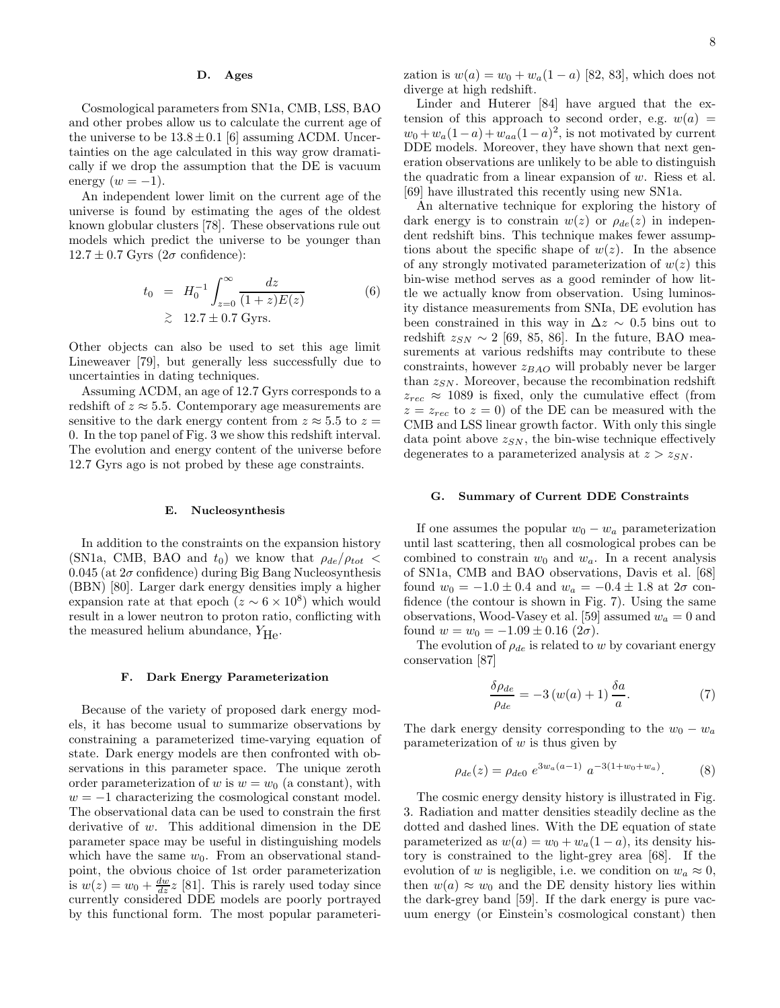### D. Ages

Cosmological parameters from SN1a, CMB, LSS, BAO and other probes allow us to calculate the current age of the universe to be  $13.8 \pm 0.1$  [6] assuming  $\Lambda$ CDM. Uncertainties on the age calculated in this way grow dramatically if we drop the assumption that the DE is vacuum energy  $(w = -1)$ .

An independent lower limit on the current age of the universe is found by estimating the ages of the oldest known globular clusters [78]. These observations rule out models which predict the universe to be younger than  $12.7 \pm 0.7$  Gyrs  $(2\sigma \text{ confidence})$ :

$$
t_0 = H_0^{-1} \int_{z=0}^{\infty} \frac{dz}{(1+z)E(z)}
$$
(6)  
  $\geq 12.7 \pm 0.7$  Gyrs.

Other objects can also be used to set this age limit Lineweaver [79], but generally less successfully due to uncertainties in dating techniques.

Assuming ΛCDM, an age of 12.7 Gyrs corresponds to a redshift of  $z \approx 5.5$ . Contemporary age measurements are sensitive to the dark energy content from  $z \approx 5.5$  to  $z =$ 0. In the top panel of Fig. 3 we show this redshift interval. The evolution and energy content of the universe before 12.7 Gyrs ago is not probed by these age constraints.

### E. Nucleosynthesis

In addition to the constraints on the expansion history (SN1a, CMB, BAO and  $t_0$ ) we know that  $\rho_{de}/\rho_{tot}$  <  $0.045$  (at  $2\sigma$  confidence) during Big Bang Nucleosynthesis (BBN) [80]. Larger dark energy densities imply a higher expansion rate at that epoch  $(z \sim 6 \times 10^8)$  which would result in a lower neutron to proton ratio, conflicting with the measured helium abundance,  $Y_{\text{He}}$ .

#### F. Dark Energy Parameterization

Because of the variety of proposed dark energy models, it has become usual to summarize observations by constraining a parameterized time-varying equation of state. Dark energy models are then confronted with observations in this parameter space. The unique zeroth order parameterization of w is  $w = w_0$  (a constant), with  $w = -1$  characterizing the cosmological constant model. The observational data can be used to constrain the first derivative of w. This additional dimension in the DE parameter space may be useful in distinguishing models which have the same  $w_0$ . From an observational standpoint, the obvious choice of 1st order parameterization is  $w(z) = w_0 + \frac{dw}{dz}z$  [81]. This is rarely used today since currently considered DDE models are poorly portrayed by this functional form. The most popular parameterization is  $w(a) = w_0 + w_a(1 - a)$  [82, 83], which does not diverge at high redshift.

Linder and Huterer [84] have argued that the extension of this approach to second order, e.g.  $w(a) =$  $w_0 + w_a(1-a) + w_{aa}(1-a)^2$ , is not motivated by current DDE models. Moreover, they have shown that next generation observations are unlikely to be able to distinguish the quadratic from a linear expansion of  $w$ . Riess et al. [69] have illustrated this recently using new SN1a.

An alternative technique for exploring the history of dark energy is to constrain  $w(z)$  or  $\rho_{de}(z)$  in independent redshift bins. This technique makes fewer assumptions about the specific shape of  $w(z)$ . In the absence of any strongly motivated parameterization of  $w(z)$  this bin-wise method serves as a good reminder of how little we actually know from observation. Using luminosity distance measurements from SNIa, DE evolution has been constrained in this way in  $\Delta z \sim 0.5$  bins out to redshift  $z_{SN} \sim 2$  [69, 85, 86]. In the future, BAO measurements at various redshifts may contribute to these constraints, however  $z_{BAO}$  will probably never be larger than  $z_{SN}$ . Moreover, because the recombination redshift  $z_{rec} \approx 1089$  is fixed, only the cumulative effect (from  $z = z_{rec}$  to  $z = 0$ ) of the DE can be measured with the CMB and LSS linear growth factor. With only this single data point above  $z_{SN}$ , the bin-wise technique effectively degenerates to a parameterized analysis at  $z > z_{SN}$ .

### G. Summary of Current DDE Constraints

If one assumes the popular  $w_0 - w_a$  parameterization until last scattering, then all cosmological probes can be combined to constrain  $w_0$  and  $w_a$ . In a recent analysis of SN1a, CMB and BAO observations, Davis et al. [68] found  $w_0 = -1.0 \pm 0.4$  and  $w_a = -0.4 \pm 1.8$  at  $2\sigma$  confidence (the contour is shown in Fig. 7). Using the same observations, Wood-Vasey et al. [59] assumed  $w_a = 0$  and found  $w = w_0 = -1.09 \pm 0.16$  (2 $\sigma$ ).

The evolution of  $\rho_{de}$  is related to w by covariant energy conservation [87]

$$
\frac{\delta \rho_{de}}{\rho_{de}} = -3 \left( w(a) + 1 \right) \frac{\delta a}{a}.
$$
 (7)

The dark energy density corresponding to the  $w_0 - w_a$ parameterization of  $w$  is thus given by

$$
\rho_{de}(z) = \rho_{de0} e^{3w_a(a-1)} a^{-3(1+w_0+w_a)}.
$$
 (8)

The cosmic energy density history is illustrated in Fig. 3. Radiation and matter densities steadily decline as the dotted and dashed lines. With the DE equation of state parameterized as  $w(a) = w_0 + w_a(1 - a)$ , its density history is constrained to the light-grey area [68]. If the evolution of w is negligible, i.e. we condition on  $w_a \approx 0$ , then  $w(a) \approx w_0$  and the DE density history lies within the dark-grey band [59]. If the dark energy is pure vacuum energy (or Einstein's cosmological constant) then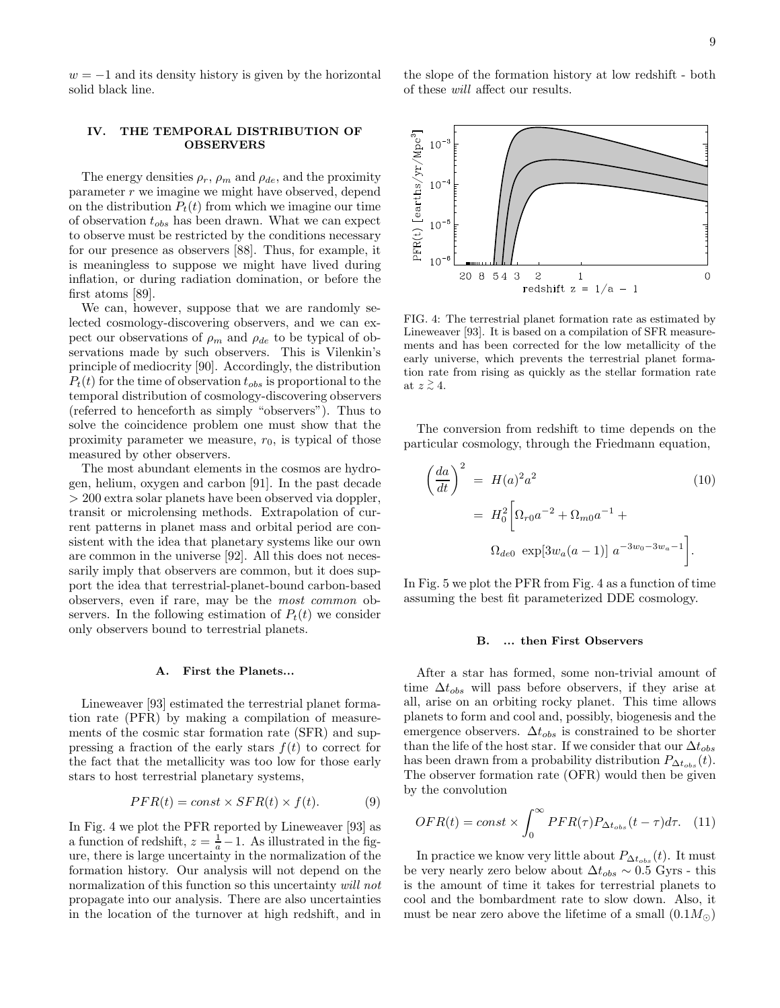$w = -1$  and its density history is given by the horizontal solid black line.

# IV. THE TEMPORAL DISTRIBUTION OF OBSERVERS

The energy densities  $\rho_r$ ,  $\rho_m$  and  $\rho_{de}$ , and the proximity parameter  $r$  we imagine we might have observed, depend on the distribution  $P_t(t)$  from which we imagine our time of observation  $t_{obs}$  has been drawn. What we can expect to observe must be restricted by the conditions necessary for our presence as observers [88]. Thus, for example, it is meaningless to suppose we might have lived during inflation, or during radiation domination, or before the first atoms [89].

We can, however, suppose that we are randomly selected cosmology-discovering observers, and we can expect our observations of  $\rho_m$  and  $\rho_{de}$  to be typical of observations made by such observers. This is Vilenkin's principle of mediocrity [90]. Accordingly, the distribution  $P_t(t)$  for the time of observation  $t_{obs}$  is proportional to the temporal distribution of cosmology-discovering observers (referred to henceforth as simply "observers"). Thus to solve the coincidence problem one must show that the proximity parameter we measure,  $r_0$ , is typical of those measured by other observers.

The most abundant elements in the cosmos are hydrogen, helium, oxygen and carbon [91]. In the past decade > 200 extra solar planets have been observed via doppler, transit or microlensing methods. Extrapolation of current patterns in planet mass and orbital period are consistent with the idea that planetary systems like our own are common in the universe [92]. All this does not necessarily imply that observers are common, but it does support the idea that terrestrial-planet-bound carbon-based observers, even if rare, may be the most common observers. In the following estimation of  $P_t(t)$  we consider only observers bound to terrestrial planets.

### A. First the Planets...

Lineweaver [93] estimated the terrestrial planet formation rate (PFR) by making a compilation of measurements of the cosmic star formation rate (SFR) and suppressing a fraction of the early stars  $f(t)$  to correct for the fact that the metallicity was too low for those early stars to host terrestrial planetary systems,

$$
PFR(t) = const \times SFR(t) \times f(t). \tag{9}
$$

In Fig. 4 we plot the PFR reported by Lineweaver [93] as a function of redshift,  $z = \frac{1}{a} - 1$ . As illustrated in the figure, there is large uncertainty in the normalization of the formation history. Our analysis will not depend on the normalization of this function so this uncertainty will not propagate into our analysis. There are also uncertainties in the location of the turnover at high redshift, and in the slope of the formation history at low redshift - both of these will affect our results.



FIG. 4: The terrestrial planet formation rate as estimated by Lineweaver [93]. It is based on a compilation of SFR measurements and has been corrected for the low metallicity of the early universe, which prevents the terrestrial planet formation rate from rising as quickly as the stellar formation rate at  $z \stackrel{\scriptstyle >}{\scriptstyle \sim} 4$ .

The conversion from redshift to time depends on the particular cosmology, through the Friedmann equation,

$$
\left(\frac{da}{dt}\right)^2 = H(a)^2 a^2 \qquad (10)
$$

$$
= H_0^2 \left[\Omega_{r0} a^{-2} + \Omega_{m0} a^{-1} + \Omega_{de0} \exp[3w_a(a-1)] a^{-3w_0 - 3w_a - 1}\right].
$$

In Fig. 5 we plot the PFR from Fig. 4 as a function of time assuming the best fit parameterized DDE cosmology.

#### B. ... then First Observers

After a star has formed, some non-trivial amount of time  $\Delta t_{obs}$  will pass before observers, if they arise at all, arise on an orbiting rocky planet. This time allows planets to form and cool and, possibly, biogenesis and the emergence observers.  $\Delta t_{obs}$  is constrained to be shorter than the life of the host star. If we consider that our  $\Delta t_{obs}$ has been drawn from a probability distribution  $P_{\Delta t_{obs}}(t)$ . The observer formation rate (OFR) would then be given by the convolution

$$
OFR(t) = const \times \int_0^\infty PFR(\tau) P_{\Delta t_{obs}}(t - \tau) d\tau.
$$
 (11)

In practice we know very little about  $P_{\Delta t_{obs}}(t)$ . It must be very nearly zero below about  $\Delta t_{obs} \sim 0.5$  Gyrs - this is the amount of time it takes for terrestrial planets to cool and the bombardment rate to slow down. Also, it must be near zero above the lifetime of a small  $(0.1M_{\odot})$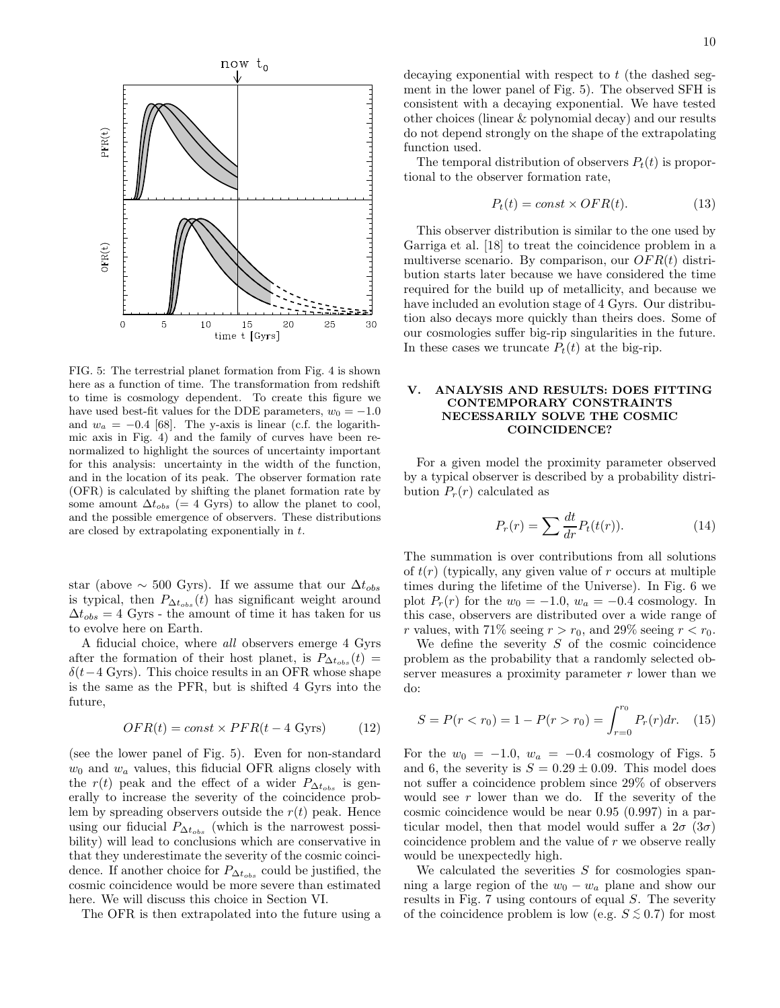

FIG. 5: The terrestrial planet formation from Fig. 4 is shown here as a function of time. The transformation from redshift to time is cosmology dependent. To create this figure we have used best-fit values for the DDE parameters,  $w_0 = -1.0$ and  $w_a = -0.4$  [68]. The y-axis is linear (c.f. the logarithmic axis in Fig. 4) and the family of curves have been renormalized to highlight the sources of uncertainty important for this analysis: uncertainty in the width of the function, and in the location of its peak. The observer formation rate (OFR) is calculated by shifting the planet formation rate by some amount  $\Delta t_{obs}$  (= 4 Gyrs) to allow the planet to cool, and the possible emergence of observers. These distributions are closed by extrapolating exponentially in t.

star (above  $\sim$  500 Gyrs). If we assume that our  $\Delta t_{obs}$ is typical, then  $P_{\Delta t_{obs}}(t)$  has significant weight around  $\Delta t_{obs} = 4$  Gyrs - the amount of time it has taken for us to evolve here on Earth.

A fiducial choice, where all observers emerge 4 Gyrs after the formation of their host planet, is  $P_{\Delta t_{obs}}(t) =$  $\delta(t-4 \text{ Gyrs})$ . This choice results in an OFR whose shape is the same as the PFR, but is shifted 4 Gyrs into the future,

$$
OFR(t) = const \times PFR(t - 4 \text{ Gyrs}) \tag{12}
$$

(see the lower panel of Fig. 5). Even for non-standard  $w_0$  and  $w_a$  values, this fiducial OFR aligns closely with the  $r(t)$  peak and the effect of a wider  $P_{\Delta t_{obs}}$  is generally to increase the severity of the coincidence problem by spreading observers outside the  $r(t)$  peak. Hence using our fiducial  $P_{\Delta t_{obs}}$  (which is the narrowest possibility) will lead to conclusions which are conservative in that they underestimate the severity of the cosmic coincidence. If another choice for  $P_{\Delta t_{obs}}$  could be justified, the cosmic coincidence would be more severe than estimated here. We will discuss this choice in Section VI.

The OFR is then extrapolated into the future using a

decaying exponential with respect to  $t$  (the dashed segment in the lower panel of Fig. 5). The observed SFH is consistent with a decaying exponential. We have tested other choices (linear & polynomial decay) and our results do not depend strongly on the shape of the extrapolating function used.

The temporal distribution of observers  $P_t(t)$  is proportional to the observer formation rate,

$$
P_t(t) = const \times OFR(t). \tag{13}
$$

This observer distribution is similar to the one used by Garriga et al. [18] to treat the coincidence problem in a multiverse scenario. By comparison, our  $OFR(t)$  distribution starts later because we have considered the time required for the build up of metallicity, and because we have included an evolution stage of 4 Gyrs. Our distribution also decays more quickly than theirs does. Some of our cosmologies suffer big-rip singularities in the future. In these cases we truncate  $P_t(t)$  at the big-rip.

## V. ANALYSIS AND RESULTS: DOES FITTING CONTEMPORARY CONSTRAINTS NECESSARILY SOLVE THE COSMIC COINCIDENCE?

For a given model the proximity parameter observed by a typical observer is described by a probability distribution  $P_r(r)$  calculated as

$$
P_r(r) = \sum \frac{dt}{dr} P_t(t(r)).
$$
\n(14)

The summation is over contributions from all solutions of  $t(r)$  (typically, any given value of r occurs at multiple times during the lifetime of the Universe). In Fig. 6 we plot  $P_r(r)$  for the  $w_0 = -1.0$ ,  $w_a = -0.4$  cosmology. In this case, observers are distributed over a wide range of r values, with 71% seeing  $r > r_0$ , and 29% seeing  $r < r_0$ .

We define the severity  $S$  of the cosmic coincidence problem as the probability that a randomly selected observer measures a proximity parameter  $r$  lower than we do:

$$
S = P(r < r_0) = 1 - P(r > r_0) = \int_{r=0}^{r_0} P_r(r) dr.
$$
 (15)

For the  $w_0 = -1.0$ ,  $w_a = -0.4$  cosmology of Figs. 5 and 6, the severity is  $S = 0.29 \pm 0.09$ . This model does not suffer a coincidence problem since 29% of observers would see  $r$  lower than we do. If the severity of the cosmic coincidence would be near 0.95 (0.997) in a particular model, then that model would suffer a  $2\sigma$  ( $3\sigma$ ) coincidence problem and the value of r we observe really would be unexpectedly high.

We calculated the severities  $S$  for cosmologies spanning a large region of the  $w_0 - w_a$  plane and show our results in Fig. 7 using contours of equal S. The severity of the coincidence problem is low (e.g.  $S \lesssim 0.7$ ) for most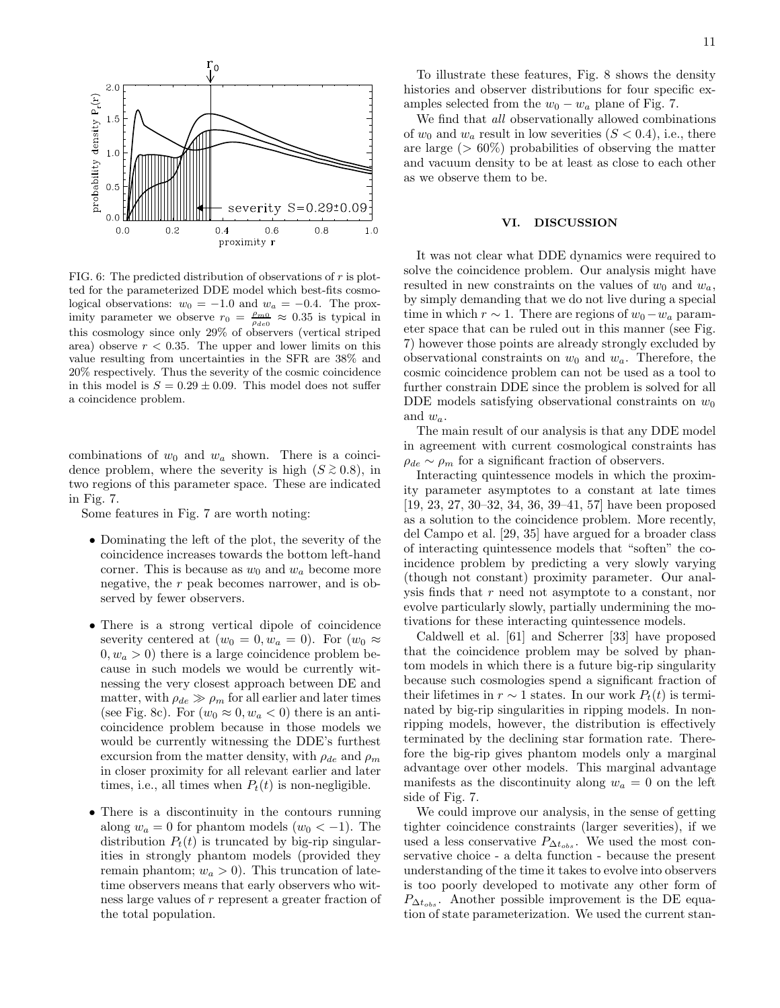

FIG. 6: The predicted distribution of observations of  $r$  is plotted for the parameterized DDE model which best-fits cosmological observations:  $w_0 = -1.0$  and  $w_a = -0.4$ . The proximity parameter we observe  $r_0 = \frac{\rho_{m0}}{\rho_{de0}} \approx 0.35$  is typical in this cosmology since only 29% of observers (vertical striped area) observe  $r < 0.35$ . The upper and lower limits on this value resulting from uncertainties in the SFR are 38% and 20% respectively. Thus the severity of the cosmic coincidence in this model is  $S = 0.29 \pm 0.09$ . This model does not suffer a coincidence problem.

combinations of  $w_0$  and  $w_a$  shown. There is a coincidence problem, where the severity is high  $(S \gtrsim 0.8)$ , in two regions of this parameter space. These are indicated in Fig. 7.

Some features in Fig. 7 are worth noting:

- Dominating the left of the plot, the severity of the coincidence increases towards the bottom left-hand corner. This is because as  $w_0$  and  $w_a$  become more negative, the r peak becomes narrower, and is observed by fewer observers.
- There is a strong vertical dipole of coincidence severity centered at  $(w_0 = 0, w_a = 0)$ . For  $(w_0 \approx$  $(0, w_a > 0)$  there is a large coincidence problem because in such models we would be currently witnessing the very closest approach between DE and matter, with  $\rho_{de} \gg \rho_m$  for all earlier and later times (see Fig. 8c). For  $(w_0 \approx 0, w_a < 0)$  there is an anticoincidence problem because in those models we would be currently witnessing the DDE's furthest excursion from the matter density, with  $\rho_{de}$  and  $\rho_m$ in closer proximity for all relevant earlier and later times, i.e., all times when  $P_t(t)$  is non-negligible.
- There is a discontinuity in the contours running along  $w_a = 0$  for phantom models  $(w_0 < -1)$ . The distribution  $P_t(t)$  is truncated by big-rip singularities in strongly phantom models (provided they remain phantom;  $w_a > 0$ ). This truncation of latetime observers means that early observers who witness large values of r represent a greater fraction of the total population.

To illustrate these features, Fig. 8 shows the density histories and observer distributions for four specific examples selected from the  $w_0 - w_a$  plane of Fig. 7.

We find that all observationally allowed combinations of  $w_0$  and  $w_a$  result in low severities  $(S < 0.4)$ , i.e., there are large ( $> 60\%$ ) probabilities of observing the matter and vacuum density to be at least as close to each other as we observe them to be.

### VI. DISCUSSION

It was not clear what DDE dynamics were required to solve the coincidence problem. Our analysis might have resulted in new constraints on the values of  $w_0$  and  $w_a$ , by simply demanding that we do not live during a special time in which  $r \sim 1$ . There are regions of  $w_0 - w_a$  parameter space that can be ruled out in this manner (see Fig. 7) however those points are already strongly excluded by observational constraints on  $w_0$  and  $w_a$ . Therefore, the cosmic coincidence problem can not be used as a tool to further constrain DDE since the problem is solved for all DDE models satisfying observational constraints on  $w_0$ and  $w_a$ .

The main result of our analysis is that any DDE model in agreement with current cosmological constraints has  $\rho_{de} \sim \rho_m$  for a significant fraction of observers.

Interacting quintessence models in which the proximity parameter asymptotes to a constant at late times [19, 23, 27, 30–32, 34, 36, 39–41, 57] have been proposed as a solution to the coincidence problem. More recently, del Campo et al. [29, 35] have argued for a broader class of interacting quintessence models that "soften" the coincidence problem by predicting a very slowly varying (though not constant) proximity parameter. Our analysis finds that r need not asymptote to a constant, nor evolve particularly slowly, partially undermining the motivations for these interacting quintessence models.

Caldwell et al. [61] and Scherrer [33] have proposed that the coincidence problem may be solved by phantom models in which there is a future big-rip singularity because such cosmologies spend a significant fraction of their lifetimes in  $r \sim 1$  states. In our work  $P_t(t)$  is terminated by big-rip singularities in ripping models. In nonripping models, however, the distribution is effectively terminated by the declining star formation rate. Therefore the big-rip gives phantom models only a marginal advantage over other models. This marginal advantage manifests as the discontinuity along  $w_a = 0$  on the left side of Fig. 7.

We could improve our analysis, in the sense of getting tighter coincidence constraints (larger severities), if we used a less conservative  $P_{\Delta t_{obs}}$ . We used the most conservative choice - a delta function - because the present understanding of the time it takes to evolve into observers is too poorly developed to motivate any other form of  $P_{\Delta t_{obs}}$ . Another possible improvement is the DE equation of state parameterization. We used the current stan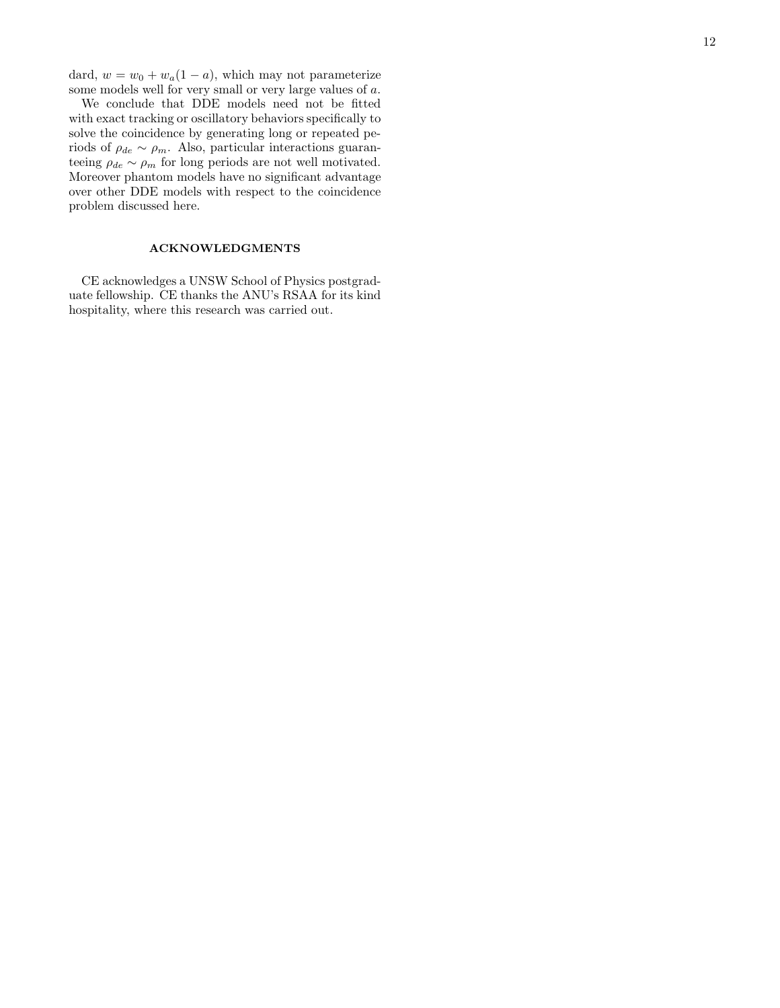dard,  $w = w_0 + w_a(1 - a)$ , which may not parameterize some models well for very small or very large values of a.

We conclude that DDE models need not be fitted with exact tracking or oscillatory behaviors specifically to solve the coincidence by generating long or repeated periods of  $\rho_{de} \sim \rho_m$ . Also, particular interactions guaranteeing  $\rho_{de} \sim \rho_m$  for long periods are not well motivated. Moreover phantom models have no significant advantage over other DDE models with respect to the coincidence problem discussed here.

# ACKNOWLEDGMENTS

CE acknowledges a UNSW School of Physics postgraduate fellowship. CE thanks the ANU's RSAA for its kind hospitality, where this research was carried out.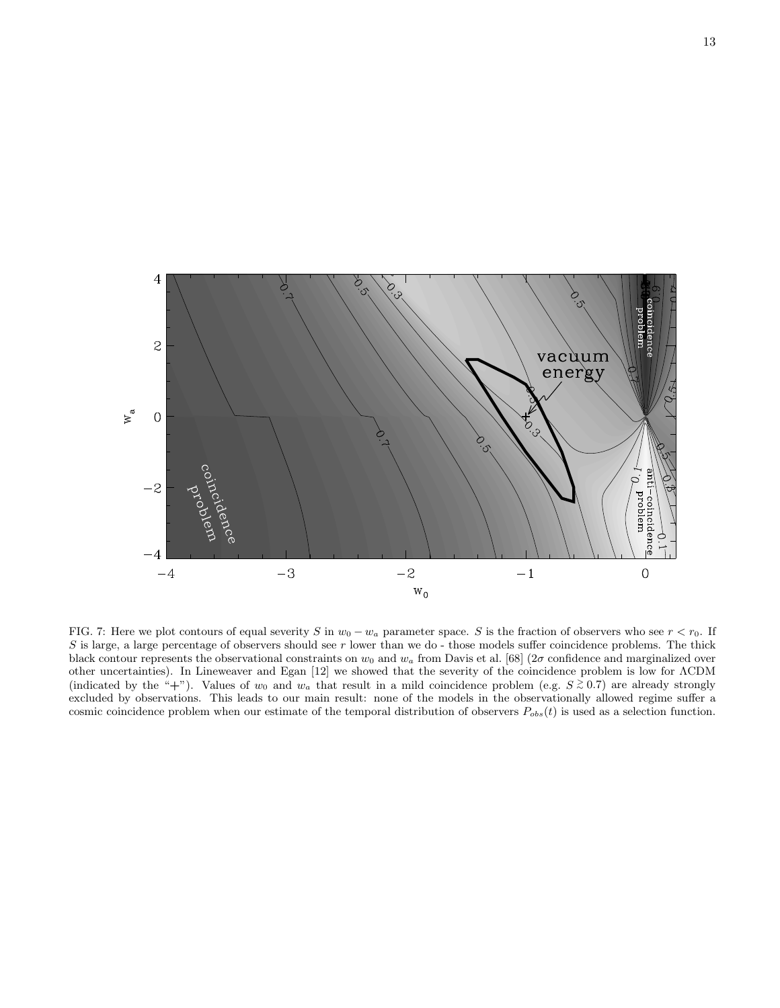

FIG. 7: Here we plot contours of equal severity S in  $w_0 - w_a$  parameter space. S is the fraction of observers who see  $r < r_0$ . If  $S$  is large, a large percentage of observers should see  $r$  lower than we do - those models suffer coincidence problems. The thick black contour represents the observational constraints on  $w_0$  and  $w_a$  from Davis et al. [68] (2 $\sigma$  confidence and marginalized over other uncertainties). In Lineweaver and Egan [12] we showed that the severity of the coincidence problem is low for ΛCDM (indicated by the "+"). Values of  $w_0$  and  $w_a$  that result in a mild coincidence problem (e.g.  $S \gtrsim 0.7$ ) are already strongly excluded by observations. This leads to our main result: none of the models in the observationally allowed regime suffer a cosmic coincidence problem when our estimate of the temporal distribution of observers  $P_{obs}(t)$  is used as a selection function.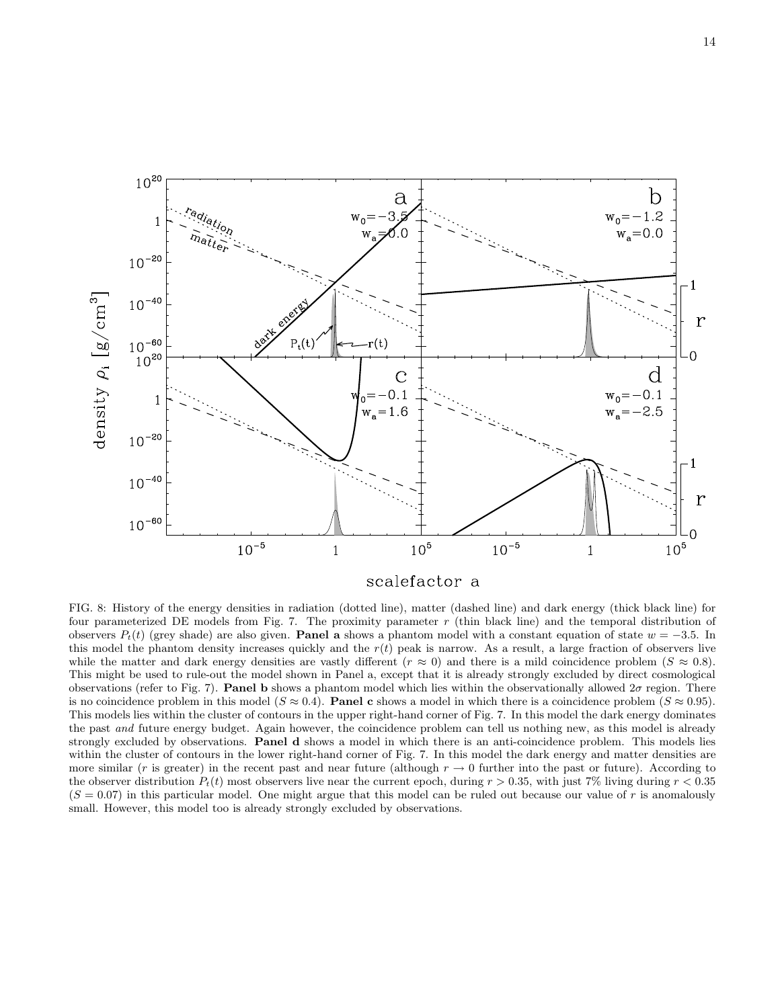

FIG. 8: History of the energy densities in radiation (dotted line), matter (dashed line) and dark energy (thick black line) for four parameterized DE models from Fig. 7. The proximity parameter  $r$  (thin black line) and the temporal distribution of observers  $P_t(t)$  (grey shade) are also given. **Panel a** shows a phantom model with a constant equation of state  $w = -3.5$ . In this model the phantom density increases quickly and the  $r(t)$  peak is narrow. As a result, a large fraction of observers live while the matter and dark energy densities are vastly different ( $r \approx 0$ ) and there is a mild coincidence problem ( $S \approx 0.8$ ). This might be used to rule-out the model shown in Panel a, except that it is already strongly excluded by direct cosmological observations (refer to Fig. 7). **Panel b** shows a phantom model which lies within the observationally allowed  $2\sigma$  region. There is no coincidence problem in this model ( $S \approx 0.4$ ). **Panel c** shows a model in which there is a coincidence problem ( $S \approx 0.95$ ). This models lies within the cluster of contours in the upper right-hand corner of Fig. 7. In this model the dark energy dominates the past and future energy budget. Again however, the coincidence problem can tell us nothing new, as this model is already strongly excluded by observations. Panel d shows a model in which there is an anti-coincidence problem. This models lies within the cluster of contours in the lower right-hand corner of Fig. 7. In this model the dark energy and matter densities are more similar (r is greater) in the recent past and near future (although  $r \to 0$  further into the past or future). According to the observer distribution  $P_t(t)$  most observers live near the current epoch, during  $r > 0.35$ , with just 7% living during  $r < 0.35$  $(S = 0.07)$  in this particular model. One might argue that this model can be ruled out because our value of r is anomalously small. However, this model too is already strongly excluded by observations.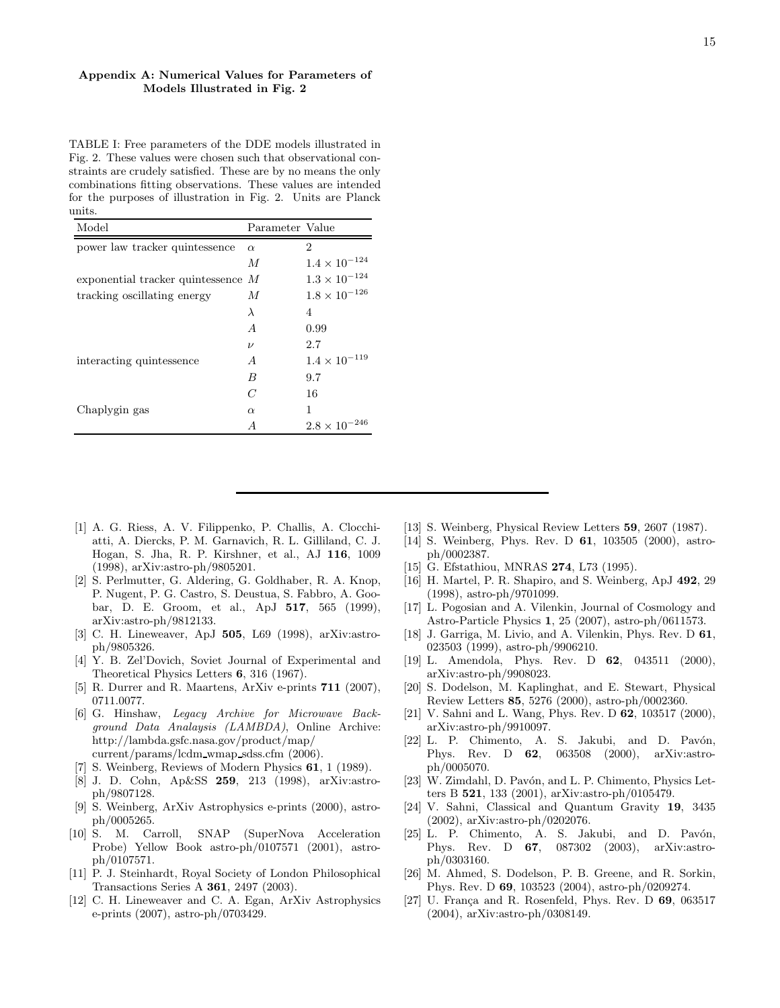# Appendix A: Numerical Values for Parameters of Models Illustrated in Fig. 2

TABLE I: Free parameters of the DDE models illustrated in Fig. 2. These values were chosen such that observational constraints are crudely satisfied. These are by no means the only combinations fitting observations. These values are intended for the purposes of illustration in Fig. 2. Units are Planck units.

| Model                                | Parameter Value |                        |
|--------------------------------------|-----------------|------------------------|
| power law tracker quintessence       | $\alpha$        | 2                      |
|                                      | $\overline{M}$  | $1.4 \times 10^{-124}$ |
| exponential tracker quintessence $M$ |                 | $1.3 \times 10^{-124}$ |
| tracking oscillating energy          | $\overline{M}$  | $1.8 \times 10^{-126}$ |
|                                      | $\lambda$       | 4                      |
|                                      | $\overline{A}$  | 0.99                   |
|                                      | $\nu$           | 2.7                    |
| interacting quintessence             | $\overline{A}$  | $1.4 \times 10^{-119}$ |
|                                      | B               | 9.7                    |
|                                      | C               | 16                     |
| Chaplygin gas                        | $\alpha$        | 1                      |
|                                      | A               | $2.8 \times 10^{-246}$ |

- [1] A. G. Riess, A. V. Filippenko, P. Challis, A. Clocchiatti, A. Diercks, P. M. Garnavich, R. L. Gilliland, C. J. Hogan, S. Jha, R. P. Kirshner, et al., AJ 116, 1009 (1998), arXiv:astro-ph/9805201.
- [2] S. Perlmutter, G. Aldering, G. Goldhaber, R. A. Knop, P. Nugent, P. G. Castro, S. Deustua, S. Fabbro, A. Goobar, D. E. Groom, et al., ApJ 517, 565 (1999), arXiv:astro-ph/9812133.
- [3] C. H. Lineweaver, ApJ 505, L69 (1998), arXiv:astroph/9805326.
- [4] Y. B. Zel'Dovich, Soviet Journal of Experimental and Theoretical Physics Letters 6, 316 (1967).
- [5] R. Durrer and R. Maartens, ArXiv e-prints 711 (2007), 0711.0077.
- [6] G. Hinshaw, Legacy Archive for Microwave Background Data Analaysis (LAMBDA), Online Archive: http://lambda.gsfc.nasa.gov/product/map/ current/params/lcdm wmap sdss.cfm (2006).
- [7] S. Weinberg, Reviews of Modern Physics 61, 1 (1989).
- [8] J. D. Cohn, Ap&SS 259, 213 (1998), arXiv:astroph/9807128.
- [9] S. Weinberg, ArXiv Astrophysics e-prints (2000), astroph/0005265.
- [10] S. M. Carroll, SNAP (SuperNova Acceleration Probe) Yellow Book astro-ph/0107571 (2001), astroph/0107571.
- [11] P. J. Steinhardt, Royal Society of London Philosophical Transactions Series A 361, 2497 (2003).
- [12] C. H. Lineweaver and C. A. Egan, ArXiv Astrophysics e-prints (2007), astro-ph/0703429.
- [13] S. Weinberg, Physical Review Letters 59, 2607 (1987).
- [14] S. Weinberg, Phys. Rev. D 61, 103505 (2000), astroph/0002387.
- [15] G. Efstathiou, MNRAS **274**, L73 (1995).
- [16] H. Martel, P. R. Shapiro, and S. Weinberg, ApJ 492, 29 (1998), astro-ph/9701099.
- [17] L. Pogosian and A. Vilenkin, Journal of Cosmology and Astro-Particle Physics 1, 25 (2007), astro-ph/0611573.
- [18] J. Garriga, M. Livio, and A. Vilenkin, Phys. Rev. D 61, 023503 (1999), astro-ph/9906210.
- [19] L. Amendola, Phys. Rev. D 62, 043511 (2000), arXiv:astro-ph/9908023.
- [20] S. Dodelson, M. Kaplinghat, and E. Stewart, Physical Review Letters 85, 5276 (2000), astro-ph/0002360.
- [21] V. Sahni and L. Wang, Phys. Rev. D 62, 103517 (2000), arXiv:astro-ph/9910097.
- [22] L. P. Chimento, A. S. Jakubi, and D. Pavón, Phys. Rev. D 62, 063508 (2000), arXiv:astroph/0005070.
- [23] W. Zimdahl, D. Pavón, and L. P. Chimento, Physics Letters B 521, 133 (2001), arXiv:astro-ph/0105479.
- [24] V. Sahni, Classical and Quantum Gravity 19, 3435 (2002), arXiv:astro-ph/0202076.
- [25] L. P. Chimento, A. S. Jakubi, and D. Pavón, Phys. Rev. D 67, 087302 (2003), arXiv:astroph/0303160.
- [26] M. Ahmed, S. Dodelson, P. B. Greene, and R. Sorkin, Phys. Rev. D 69, 103523 (2004), astro-ph/0209274.
- [27] U. França and R. Rosenfeld, Phys. Rev. D  $69$ , 063517 (2004), arXiv:astro-ph/0308149.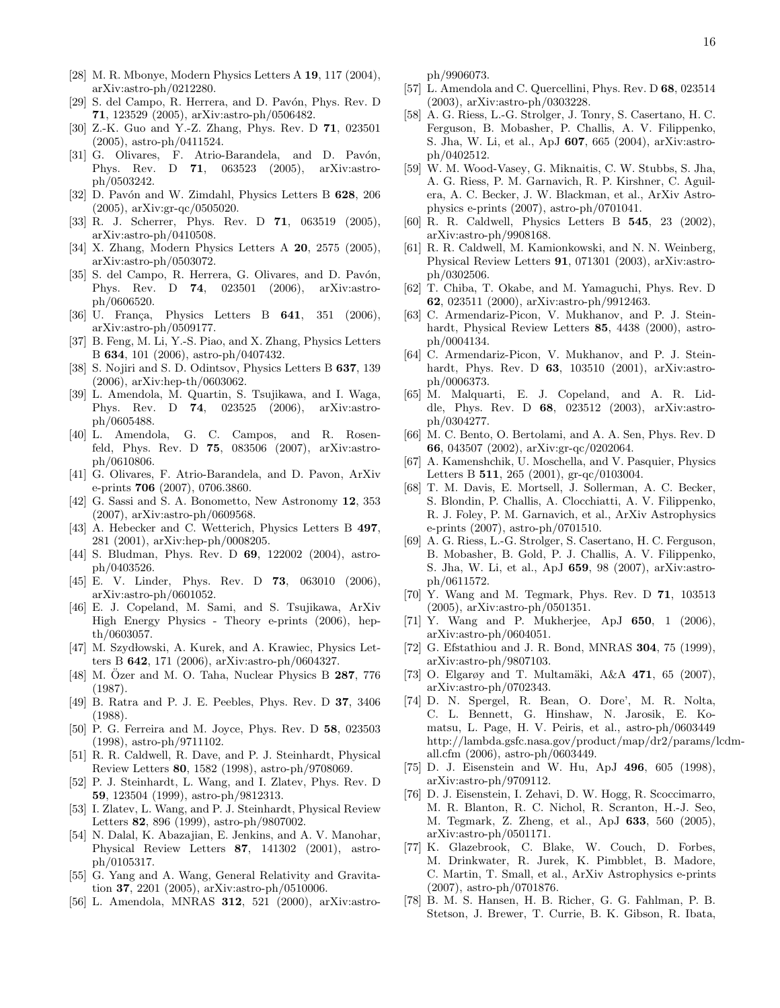- [28] M. R. Mbonye, Modern Physics Letters A 19, 117 (2004), arXiv:astro-ph/0212280.
- [29] S. del Campo, R. Herrera, and D. Pavón, Phys. Rev. D 71, 123529 (2005), arXiv:astro-ph/0506482.
- [30] Z.-K. Guo and Y.-Z. Zhang, Phys. Rev. D 71, 023501 (2005), astro-ph/0411524.
- [31] G. Olivares, F. Atrio-Barandela, and D. Pavón, Phys. Rev. D 71, 063523 (2005), arXiv:astroph/0503242.
- [32] D. Pavón and W. Zimdahl, Physics Letters B 628, 206 (2005), arXiv:gr-qc/0505020.
- [33] R. J. Scherrer, Phys. Rev. D **71**, 063519 (2005), arXiv:astro-ph/0410508.
- [34] X. Zhang, Modern Physics Letters A 20, 2575 (2005), arXiv:astro-ph/0503072.
- [35] S. del Campo, R. Herrera, G. Olivares, and D. Pavón, Phys. Rev. D 74, 023501 (2006), arXiv:astroph/0606520.
- [36] U. França, Physics Letters B  $641$ , 351 (2006), arXiv:astro-ph/0509177.
- [37] B. Feng, M. Li, Y.-S. Piao, and X. Zhang, Physics Letters B 634, 101 (2006), astro-ph/0407432.
- [38] S. Nojiri and S. D. Odintsov, Physics Letters B 637, 139 (2006), arXiv:hep-th/0603062.
- [39] L. Amendola, M. Quartin, S. Tsujikawa, and I. Waga, Phys. Rev. D 74, 023525 (2006), arXiv:astroph/0605488.
- [40] L. Amendola, G. C. Campos, and R. Rosenfeld, Phys. Rev. D 75, 083506 (2007), arXiv:astroph/0610806.
- [41] G. Olivares, F. Atrio-Barandela, and D. Pavon, ArXiv e-prints 706 (2007), 0706.3860.
- [42] G. Sassi and S. A. Bonometto, New Astronomy 12, 353 (2007), arXiv:astro-ph/0609568.
- [43] A. Hebecker and C. Wetterich, Physics Letters B 497, 281 (2001), arXiv:hep-ph/0008205.
- [44] S. Bludman, Phys. Rev. D **69**, 122002 (2004), astroph/0403526.
- [45] E. V. Linder, Phys. Rev. D **73**, 063010 (2006), arXiv:astro-ph/0601052.
- [46] E. J. Copeland, M. Sami, and S. Tsujikawa, ArXiv High Energy Physics - Theory e-prints (2006), hepth/0603057.
- [47] M. Szydłowski, A. Kurek, and A. Krawiec, Physics Letters B 642, 171 (2006), arXiv:astro-ph/0604327.
- [48] M. Özer and M. O. Taha, Nuclear Physics B  $287$ , 776 (1987).
- [49] B. Ratra and P. J. E. Peebles, Phys. Rev. D 37, 3406 (1988).
- [50] P. G. Ferreira and M. Joyce, Phys. Rev. D 58, 023503 (1998), astro-ph/9711102.
- [51] R. R. Caldwell, R. Dave, and P. J. Steinhardt, Physical Review Letters 80, 1582 (1998), astro-ph/9708069.
- [52] P. J. Steinhardt, L. Wang, and I. Zlatev, Phys. Rev. D 59, 123504 (1999), astro-ph/9812313.
- [53] I. Zlatev, L. Wang, and P. J. Steinhardt, Physical Review Letters 82, 896 (1999), astro-ph/9807002.
- [54] N. Dalal, K. Abazajian, E. Jenkins, and A. V. Manohar, Physical Review Letters 87, 141302 (2001), astroph/0105317.
- [55] G. Yang and A. Wang, General Relativity and Gravitation 37, 2201 (2005), arXiv:astro-ph/0510006.
- [56] L. Amendola, MNRAS 312, 521 (2000), arXiv:astro-

ph/9906073.

- [57] L. Amendola and C. Quercellini, Phys. Rev. D 68, 023514 (2003), arXiv:astro-ph/0303228.
- [58] A. G. Riess, L.-G. Strolger, J. Tonry, S. Casertano, H. C. Ferguson, B. Mobasher, P. Challis, A. V. Filippenko, S. Jha, W. Li, et al., ApJ 607, 665 (2004), arXiv:astroph/0402512.
- [59] W. M. Wood-Vasey, G. Miknaitis, C. W. Stubbs, S. Jha, A. G. Riess, P. M. Garnavich, R. P. Kirshner, C. Aguilera, A. C. Becker, J. W. Blackman, et al., ArXiv Astrophysics e-prints (2007), astro-ph/0701041.
- [60] R. R. Caldwell, Physics Letters B 545, 23 (2002), arXiv:astro-ph/9908168.
- [61] R. R. Caldwell, M. Kamionkowski, and N. N. Weinberg, Physical Review Letters 91, 071301 (2003), arXiv:astroph/0302506.
- [62] T. Chiba, T. Okabe, and M. Yamaguchi, Phys. Rev. D 62, 023511 (2000), arXiv:astro-ph/9912463.
- [63] C. Armendariz-Picon, V. Mukhanov, and P. J. Steinhardt, Physical Review Letters 85, 4438 (2000), astroph/0004134.
- [64] C. Armendariz-Picon, V. Mukhanov, and P. J. Steinhardt, Phys. Rev. D **63**, 103510 (2001), arXiv:astroph/0006373.
- [65] M. Malquarti, E. J. Copeland, and A. R. Liddle, Phys. Rev. D 68, 023512 (2003), arXiv:astroph/0304277.
- [66] M. C. Bento, O. Bertolami, and A. A. Sen, Phys. Rev. D 66, 043507 (2002), arXiv:gr-qc/0202064.
- [67] A. Kamenshchik, U. Moschella, and V. Pasquier, Physics Letters B 511, 265 (2001), gr-qc/0103004.
- [68] T. M. Davis, E. Mortsell, J. Sollerman, A. C. Becker, S. Blondin, P. Challis, A. Clocchiatti, A. V. Filippenko, R. J. Foley, P. M. Garnavich, et al., ArXiv Astrophysics e-prints (2007), astro-ph/0701510.
- [69] A. G. Riess, L.-G. Strolger, S. Casertano, H. C. Ferguson, B. Mobasher, B. Gold, P. J. Challis, A. V. Filippenko, S. Jha, W. Li, et al., ApJ 659, 98 (2007), arXiv:astroph/0611572.
- [70] Y. Wang and M. Tegmark, Phys. Rev. D 71, 103513 (2005), arXiv:astro-ph/0501351.
- [71] Y. Wang and P. Mukherjee, ApJ 650, 1 (2006), arXiv:astro-ph/0604051.
- [72] G. Efstathiou and J. R. Bond, MNRAS **304**, 75 (1999), arXiv:astro-ph/9807103.
- [73] O. Elgarøy and T. Multamäki, A&A 471, 65 (2007), arXiv:astro-ph/0702343.
- [74] D. N. Spergel, R. Bean, O. Dore', M. R. Nolta, C. L. Bennett, G. Hinshaw, N. Jarosik, E. Komatsu, L. Page, H. V. Peiris, et al., astro-ph/0603449 http://lambda.gsfc.nasa.gov/product/map/dr2/params/lcdmall.cfm (2006), astro-ph/0603449.
- [75] D. J. Eisenstein and W. Hu, ApJ 496, 605 (1998), arXiv:astro-ph/9709112.
- [76] D. J. Eisenstein, I. Zehavi, D. W. Hogg, R. Scoccimarro, M. R. Blanton, R. C. Nichol, R. Scranton, H.-J. Seo, M. Tegmark, Z. Zheng, et al., ApJ 633, 560 (2005), arXiv:astro-ph/0501171.
- [77] K. Glazebrook, C. Blake, W. Couch, D. Forbes, M. Drinkwater, R. Jurek, K. Pimbblet, B. Madore, C. Martin, T. Small, et al., ArXiv Astrophysics e-prints (2007), astro-ph/0701876.
- [78] B. M. S. Hansen, H. B. Richer, G. G. Fahlman, P. B. Stetson, J. Brewer, T. Currie, B. K. Gibson, R. Ibata,